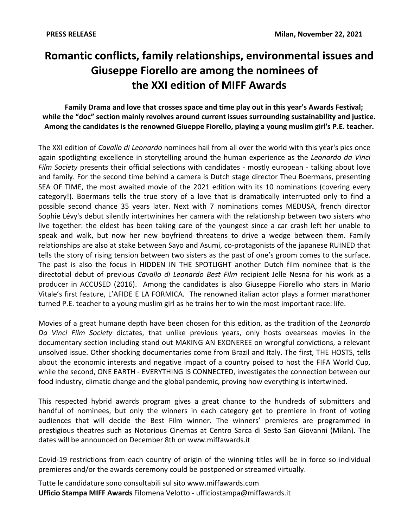# Romantic conflicts, family relationships, environmental issues and Giuseppe Fiorello are among the nominees of the XXI edition of MIFF Awards

## Family Drama and love that crosses space and time play out in this year's Awards Festival; while the "doc" section mainly revolves around current issues surrounding sustainability and justice. Among the candidates is the renowned Giueppe Fiorello, playing a young muslim girl's P.E. teacher.

The XXI edition of Cavallo di Leonardo nominees hail from all over the world with this year's pics once again spotlighting excellence in storytelling around the human experience as the Leonardo da Vinci Film Society presents their official selections with candidates - mostly european - talking about love and family. For the second time behind a camera is Dutch stage director Theu Boermans, presenting SEA OF TIME, the most awaited movie of the 2021 edition with its 10 nominations (covering every category!). Boermans tells the true story of a love that is dramatically interrupted only to find a possible second chance 35 years later. Next with 7 nominations comes MEDUSA, french director Sophie Lévy's debut silently intertwinines her camera with the relationship between two sisters who live together: the eldest has been taking care of the youngest since a car crash left her unable to speak and walk, but now her new boyfriend threatens to drive a wedge between them. Family relationships are also at stake between Sayo and Asumi, co-protagonists of the japanese RUINED that tells the story of rising tension between two sisters as the past of one's groom comes to the surface. The past is also the focus in HIDDEN IN THE SPOTLIGHT another Dutch film nominee that is the directotial debut of previous Cavallo di Leonardo Best Film recipient Jelle Nesna for his work as a producer in ACCUSED (2016). Among the candidates is also Giuseppe Fiorello who stars in Mario Vitale's first feature, L'AFIDE E LA FORMICA. The renowned italian actor plays a former marathoner turned P.E. teacher to a young muslim girl as he trains her to win the most important race: life.

Movies of a great humane depth have been chosen for this edition, as the tradition of the Leonardo Da Vinci Film Society dictates, that unlike previous years, only hosts ovearseas movies in the documentary section including stand out MAKING AN EXONEREE on wrongful convictions, a relevant unsolved issue. Other shocking documentaries come from Brazil and Italy. The first, THE HOSTS, tells about the economic interests and negative impact of a country poised to host the FIFA World Cup, while the second, ONE EARTH - EVERYTHING IS CONNECTED, investigates the connection between our food industry, climatic change and the global pandemic, proving how everything is intertwined.

This respected hybrid awards program gives a great chance to the hundreds of submitters and handful of nominees, but only the winners in each category get to premiere in front of voting audiences that will decide the Best Film winner. The winners' premieres are programmed in prestigious theatres such as Notorious Cinemas at Centro Sarca di Sesto San Giovanni (Milan). The dates will be announced on December 8th on www.miffawards.it

Covid-19 restrictions from each country of origin of the winning titles will be in force so individual premieres and/or the awards ceremony could be postponed or streamed virtually.

Tutte le candidature sono consultabili sul sito www.miffawards.com Ufficio Stampa MIFF Awards Filomena Velotto - ufficiostampa@miffawards.it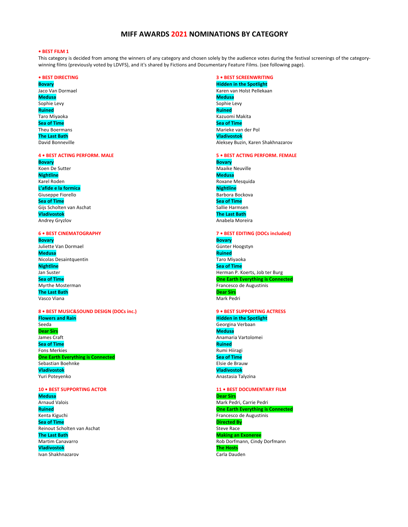## MIFF AWARDS 2021 NOMINATIONS BY CATEGORY

#### • BEST FILM 1

This category is decided from among the winners of any category and chosen solely by the audience votes during the festival screenings of the categorywinning films (previously voted by LDVFS), and it's shared by Fictions and Documentary Feature Films. (see following page).

#### **• BEST DIRECTING**

**Bovary** Jaco Van Dormael **Medusa** Sophie Levy **Ruined** Taro Miyaoka **Sea of Time** Theu Boermans **The Last Bath** David Bonneville

#### **4 . BEST ACTING PERFORM. MALE**

**Bovary** Koen De Sutter **Nightline** Karel Roden L'afide e la formica Giuseppe Fiorello **Sea of Time** Gijs Scholten van Aschat **Vladivostok Andrey Gryzlov** 

#### **6 . BEST CINEMATOGRAPHY**

**Bovary** Juliette Van Dormael **Medusa** Nicolas Desaintquentin **Nightline** Jan Suster **Sea of Time** Myrthe Mosterman **The Last Bath** Vasco Viana

#### 8 . BEST MUSIC&SOUND DESIGN (DOCs inc.) **Flowers and Rain** Seeda **Dear Sirs** James Craft **Sea of Time Fons Merkies One Earth Everything is Connected** Sebastian Boehnke **Vladivostok** Yuri Poteyenko

#### 10 . BEST SUPPORTING ACTOR

**Medusa Arnaud Valois Ruined** Kenta Kiguchi **Sea of Time** Reinout Scholten van Aschat **The Last Bath** Martim Canavarro **Vladivostok** Ivan Shakhnazarov

### **3 · BEST SCREENWRITING**

**Hidden in the Spotlight** Karen van Holst Pellekaan **Medusa** Sophie Levy **Ruined** Kazuomi Makita **Sea of Time** Marieke van der Pol Vladivostok Aleksey Buzin, Karen Shakhnazarov

#### **5 · BEST ACTING PERFORM. FEMALE**

**Bovary** Maaike Neuville Medusa Roxane Mesquida **Nightline** Barbora Bockova **Sea of Time** Sallie Harmsen **The Last Bath** Anabela Moreira

#### 7 • BEST EDITING (DOCs included) **Bovary**

Günter Hoogstyn Ruined Taro Miyaoka **Sea of Time** Herman P. Koerts, Job ter Burg **One Earth Everything is Connected** Francesco de Augustinis **Dear Sirs** Mark Pedri

## 9 . BEST SUPPORTING ACTRESS

**Hidden in the Spotlight** Georgina Verbaan **Medusa** Anamaria Vartolomei **Ruined** Rumi Hiiragi **Sea of Time** Elsie de Brauw **Vladivostok** Anastasia Talyzina

11 . BEST DOCUMENTARY FILM **Dear Sirs** Mark Pedri, Carrie Pedri **One Earth Everything is Connected** Francesco de Augustinis **Directed By** Steve Race **Making an Exoneree** Rob Dorfmann, Cindy Dorfmann **The Hosts** Carla Dauden